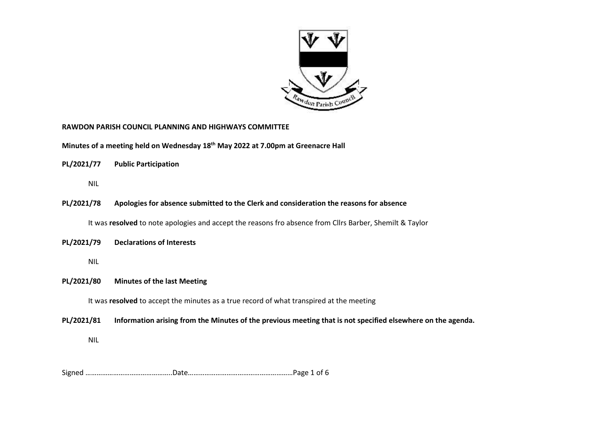

### **RAWDON PARISH COUNCIL PLANNING AND HIGHWAYS COMMITTEE**

**Minutes of a meeting held on Wednesday 18th May 2022 at 7.00pm at Greenacre Hall**

**PL/2021/77 Public Participation** 

NIL

**PL/2021/78 Apologies for absence submitted to the Clerk and consideration the reasons for absence**

It was **resolved** to note apologies and accept the reasons fro absence from Cllrs Barber, Shemilt & Taylor

**PL/2021/79 Declarations of Interests** 

NIL

### **PL/2021/80 Minutes of the last Meeting**

It was **resolved** to accept the minutes as a true record of what transpired at the meeting

**PL/2021/81 Information arising from the Minutes of the previous meeting that is not specified elsewhere on the agenda.**

NIL

Signed ………………………………………..Date…………………………………………………Page 1 of 6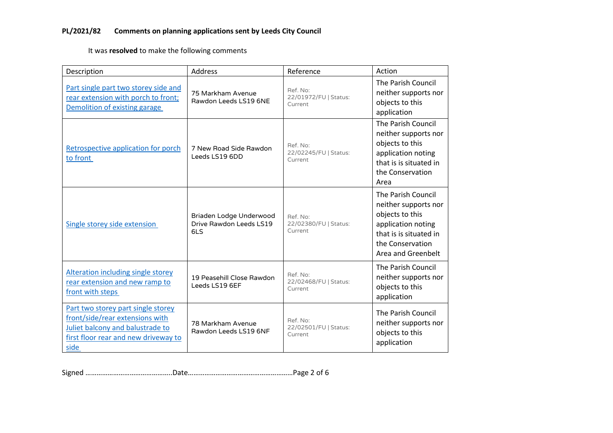## **PL/2021/82 Comments on planning applications sent by Leeds City Council**

It was **resolved** to make the following comments

| Description                                                                                                                                               | <b>Address</b>                                            | Reference                                    | Action                                                                                                                                                  |
|-----------------------------------------------------------------------------------------------------------------------------------------------------------|-----------------------------------------------------------|----------------------------------------------|---------------------------------------------------------------------------------------------------------------------------------------------------------|
| Part single part two storey side and<br>rear extension with porch to front;<br>Demolition of existing garage                                              | 75 Markham Avenue<br>Rawdon Leeds LS19 6NE                | Ref. No:<br>22/01972/FU   Status:<br>Current | The Parish Council<br>neither supports nor<br>objects to this<br>application                                                                            |
| Retrospective application for porch<br>to front                                                                                                           | 7 New Road Side Rawdon<br>Leeds LS19 6DD                  | Ref. No:<br>22/02245/FU   Status:<br>Current | The Parish Council<br>neither supports nor<br>objects to this<br>application noting<br>that is is situated in<br>the Conservation<br>Area               |
| Single storey side extension                                                                                                                              | Briaden Lodge Underwood<br>Drive Rawdon Leeds LS19<br>6LS | Ref. No:<br>22/02380/FU   Status:<br>Current | The Parish Council<br>neither supports nor<br>objects to this<br>application noting<br>that is is situated in<br>the Conservation<br>Area and Greenbelt |
| <b>Alteration including single storey</b><br>rear extension and new ramp to<br>front with steps                                                           | 19 Peasehill Close Rawdon<br>Leeds LS19 6EF               | Ref. No:<br>22/02468/FU   Status:<br>Current | The Parish Council<br>neither supports nor<br>objects to this<br>application                                                                            |
| Part two storey part single storey<br>front/side/rear extensions with<br>Juliet balcony and balustrade to<br>first floor rear and new driveway to<br>side | 78 Markham Avenue<br>Rawdon Leeds LS19 6NF                | Ref. No:<br>22/02501/FU   Status:<br>Current | The Parish Council<br>neither supports nor<br>objects to this<br>application                                                                            |

Signed ………………………………………..Date…………………………………………………Page 2 of 6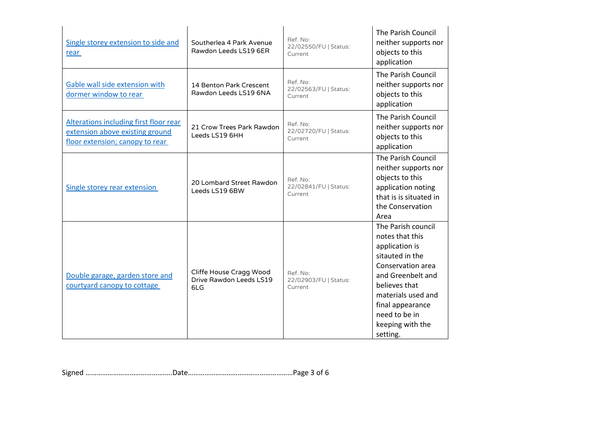| Single storey extension to side and<br>rear                                                                  | Southerlea 4 Park Avenue<br>Rawdon Leeds LS19 6ER         | Ref. No:<br>22/02550/FU   Status:<br>Current | The Parish Council<br>neither supports nor<br>objects to this<br>application                                                                                                                                                     |
|--------------------------------------------------------------------------------------------------------------|-----------------------------------------------------------|----------------------------------------------|----------------------------------------------------------------------------------------------------------------------------------------------------------------------------------------------------------------------------------|
| Gable wall side extension with<br>dormer window to rear                                                      | 14 Benton Park Crescent<br>Rawdon Leeds LS19 6NA          | Ref. No:<br>22/02563/FU   Status:<br>Current | The Parish Council<br>neither supports nor<br>objects to this<br>application                                                                                                                                                     |
| Alterations including first floor rear<br>extension above existing ground<br>floor extension; canopy to rear | 21 Crow Trees Park Rawdon<br>Leeds LS19 6HH               | Ref. No:<br>22/02720/FU   Status:<br>Current | The Parish Council<br>neither supports nor<br>objects to this<br>application                                                                                                                                                     |
| Single storey rear extension                                                                                 | 20 Lombard Street Rawdon<br>Leeds LS19 6BW                | Ref. No:<br>22/02841/FU   Status:<br>Current | The Parish Council<br>neither supports nor<br>objects to this<br>application noting<br>that is is situated in<br>the Conservation<br>Area                                                                                        |
| Double garage, garden store and<br>courtyard canopy to cottage                                               | Cliffe House Cragg Wood<br>Drive Rawdon Leeds LS19<br>6LG | Ref. No:<br>22/02903/FU   Status:<br>Current | The Parish council<br>notes that this<br>application is<br>sitauted in the<br>Conservation area<br>and Greenbelt and<br>believes that<br>materials used and<br>final appearance<br>need to be in<br>keeping with the<br>setting. |

Signed ………………………………………..Date…………………………………………………Page 3 of 6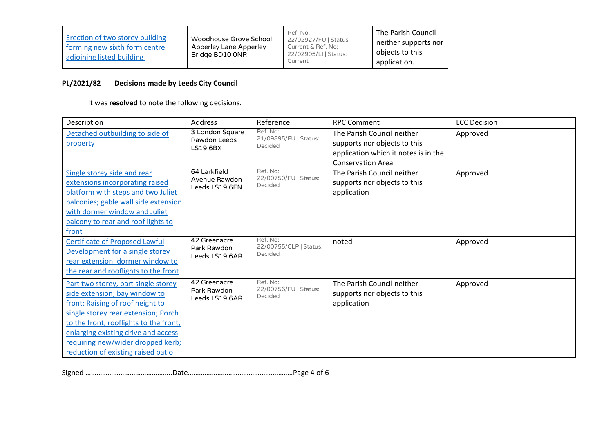| Erection of two storey building<br>forming new sixth form centre<br>adjoining listed building | Woodhouse Grove School<br>Apperley Lane Apperley<br>Bridge BD10 ONR | Ref. No:<br>22/02927/FU   Status:<br>Current & Ref. No:<br>22/02905/LI   Status:<br>Current | The Parish Council<br>neither supports nor<br>objects to this<br>application. |
|-----------------------------------------------------------------------------------------------|---------------------------------------------------------------------|---------------------------------------------------------------------------------------------|-------------------------------------------------------------------------------|
|-----------------------------------------------------------------------------------------------|---------------------------------------------------------------------|---------------------------------------------------------------------------------------------|-------------------------------------------------------------------------------|

# **PL/2021/82 Decisions made by Leeds City Council**

It was **resolved** to note the following decisions.

| Description                                                                                                                                                                                                                                                                                                 | Address                                            | Reference                                     | <b>RPC Comment</b>                                                        | <b>LCC Decision</b> |
|-------------------------------------------------------------------------------------------------------------------------------------------------------------------------------------------------------------------------------------------------------------------------------------------------------------|----------------------------------------------------|-----------------------------------------------|---------------------------------------------------------------------------|---------------------|
| Detached outbuilding to side of<br>property                                                                                                                                                                                                                                                                 | 3 London Square<br>Rawdon Leeds<br><b>LS19 6BX</b> | Ref. No:<br>21/09895/FU   Status:<br>Decided  | The Parish Council neither<br>supports nor objects to this                | Approved            |
|                                                                                                                                                                                                                                                                                                             |                                                    |                                               | application which it notes is in the<br><b>Conservation Area</b>          |                     |
| Single storey side and rear<br>extensions incorporating raised<br>platform with steps and two Juliet                                                                                                                                                                                                        | 64 Larkfield<br>Avenue Rawdon<br>Leeds LS19 6EN    | Ref. No:<br>22/00750/FU   Status:<br>Decided  | The Parish Council neither<br>supports nor objects to this<br>application | Approved            |
| balconies; gable wall side extension<br>with dormer window and Juliet<br>balcony to rear and roof lights to                                                                                                                                                                                                 |                                                    |                                               |                                                                           |                     |
| front                                                                                                                                                                                                                                                                                                       |                                                    |                                               |                                                                           |                     |
| <b>Certificate of Proposed Lawful</b><br>Development for a single storey<br>rear extension, dormer window to<br>the rear and rooflights to the front                                                                                                                                                        | 42 Greenacre<br>Park Rawdon<br>Leeds LS19 6AR      | Ref. No:<br>22/00755/CLP   Status:<br>Decided | noted                                                                     | Approved            |
| Part two storey, part single storey<br>side extension; bay window to<br>front; Raising of roof height to<br>single storey rear extension; Porch<br>to the front, rooflights to the front,<br>enlarging existing drive and access<br>requiring new/wider dropped kerb;<br>reduction of existing raised patio | 42 Greenacre<br>Park Rawdon<br>Leeds LS19 6AR      | Ref. No:<br>22/00756/FU   Status:<br>Decided  | The Parish Council neither<br>supports nor objects to this<br>application | Approved            |

Signed ………………………………………..Date…………………………………………………Page 4 of 6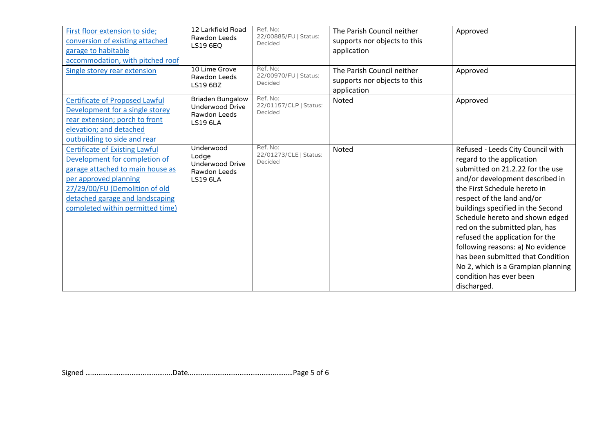| First floor extension to side;<br>conversion of existing attached<br>garage to habitable<br>accommodation, with pitched roof                                                                                                                 | 12 Larkfield Road<br>Rawdon Leeds<br><b>LS19 6EQ</b>                                 | Ref. No:<br>22/00885/FU   Status:<br>Decided  | The Parish Council neither<br>supports nor objects to this<br>application | Approved                                                                                                                                                                                                                                                                                                                                                                                                                                                                                                   |
|----------------------------------------------------------------------------------------------------------------------------------------------------------------------------------------------------------------------------------------------|--------------------------------------------------------------------------------------|-----------------------------------------------|---------------------------------------------------------------------------|------------------------------------------------------------------------------------------------------------------------------------------------------------------------------------------------------------------------------------------------------------------------------------------------------------------------------------------------------------------------------------------------------------------------------------------------------------------------------------------------------------|
| Single storey rear extension                                                                                                                                                                                                                 | 10 Lime Grove<br>Rawdon Leeds<br>LS19 6BZ                                            | Ref. No:<br>22/00970/FU   Status:<br>Decided  | The Parish Council neither<br>supports nor objects to this<br>application | Approved                                                                                                                                                                                                                                                                                                                                                                                                                                                                                                   |
| <b>Certificate of Proposed Lawful</b><br>Development for a single storey<br>rear extension; porch to front<br>elevation; and detached<br>outbuilding to side and rear                                                                        | <b>Briaden Bungalow</b><br><b>Underwood Drive</b><br>Rawdon Leeds<br><b>LS19 6LA</b> | Ref. No:<br>22/01157/CLP   Status:<br>Decided | Noted                                                                     | Approved                                                                                                                                                                                                                                                                                                                                                                                                                                                                                                   |
| <b>Certificate of Existing Lawful</b><br>Development for completion of<br>garage attached to main house as<br>per approved planning<br>27/29/00/FU (Demolition of old<br>detached garage and landscaping<br>completed within permitted time) | Underwood<br>Lodge<br>Underwood Drive<br>Rawdon Leeds<br><b>LS19 6LA</b>             | Ref. No:<br>22/01273/CLE   Status:<br>Decided | Noted                                                                     | Refused - Leeds City Council with<br>regard to the application<br>submitted on 21.2.22 for the use<br>and/or development described in<br>the First Schedule hereto in<br>respect of the land and/or<br>buildings specified in the Second<br>Schedule hereto and shown edged<br>red on the submitted plan, has<br>refused the application for the<br>following reasons: a) No evidence<br>has been submitted that Condition<br>No 2, which is a Grampian planning<br>condition has ever been<br>discharged. |

Signed ………………………………………..Date…………………………………………………Page 5 of 6